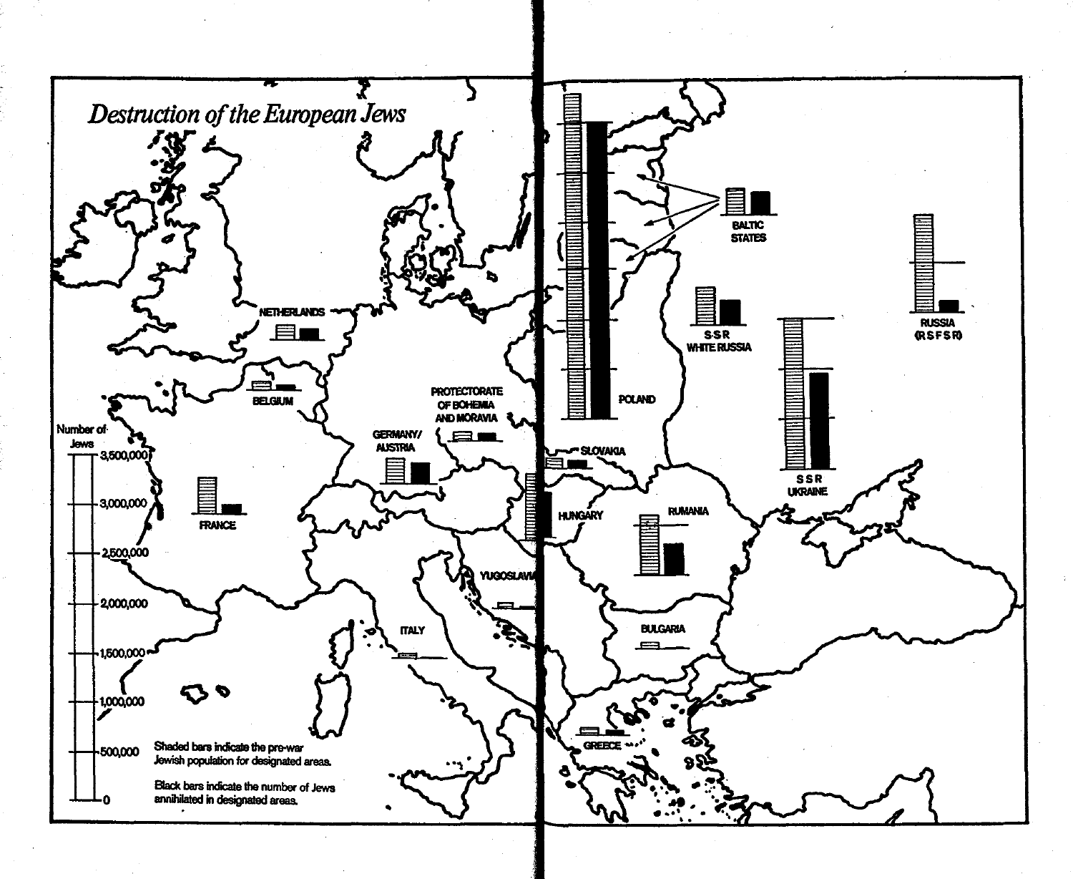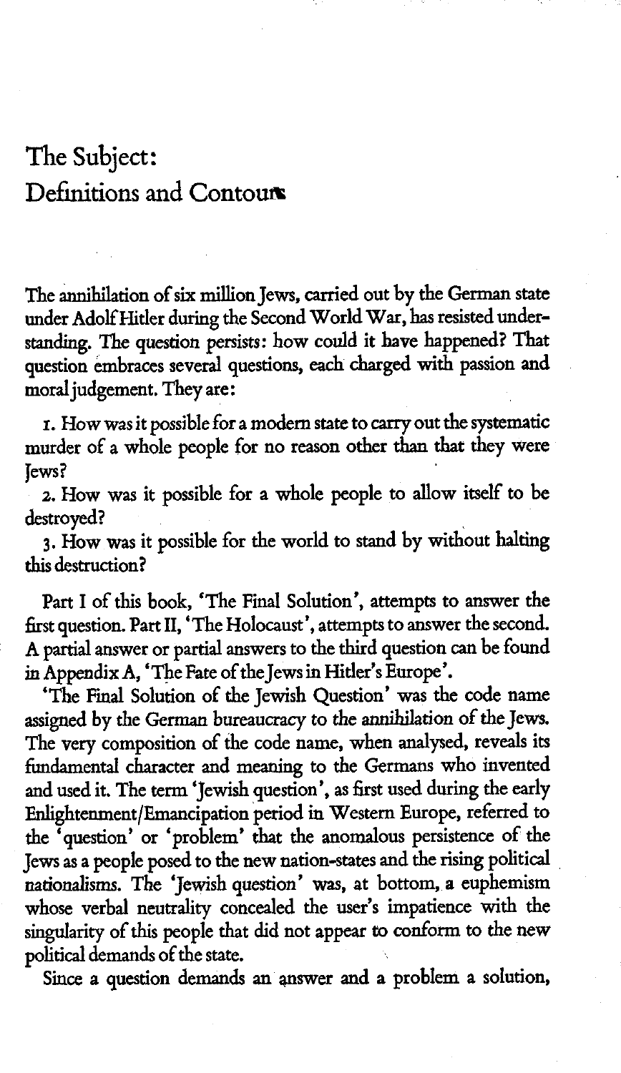The annihilation of six million Jews, carried out by the German state under Adolf Hitler during the Second World War, has resisted understanding. The question persists: how could it have happened? That question embraces several questions, each charged with passion and moral judgement. They are:

1. How was it possible for a modern state to carry out the systematic murder of a whole people for no reason other than that they were fews?

2. How was it possible for a whole people to allow itself to be destroyed?

3. How was it possible for the world to stand by without halting this destruction?

Part I of this book, 'The Final Solution', attempts to answer the first question. Part II, 'The Holocaust', attempts to answer the second. A partial answer or partial answers to the third question can be found in Appendix A. 'The Fate of the Jews in Hitler's Europe'.

'The Final Solution of the Jewish Question' was the code name assigned by the German bureaucracy to the annihilation of the Jews. The very composition of the code name, when analysed, reveals its fundamental character and meaning to the Germans who invented and used it. The term 'Jewish question', as first used during the early Enlightenment/Emancipation period in Western Europe, referred to the 'question' or 'problem' that the anomalous persistence of the Jews as a people posed to the new nation-states and the rising political nationalisms. The 'Jewish question' was, at bottom, a euphemism whose verbal neutrality concealed the user's impatience with the singularity of this people that did not appear to conform to the new political demands of the state.

Since a question demands an answer and a problem a solution,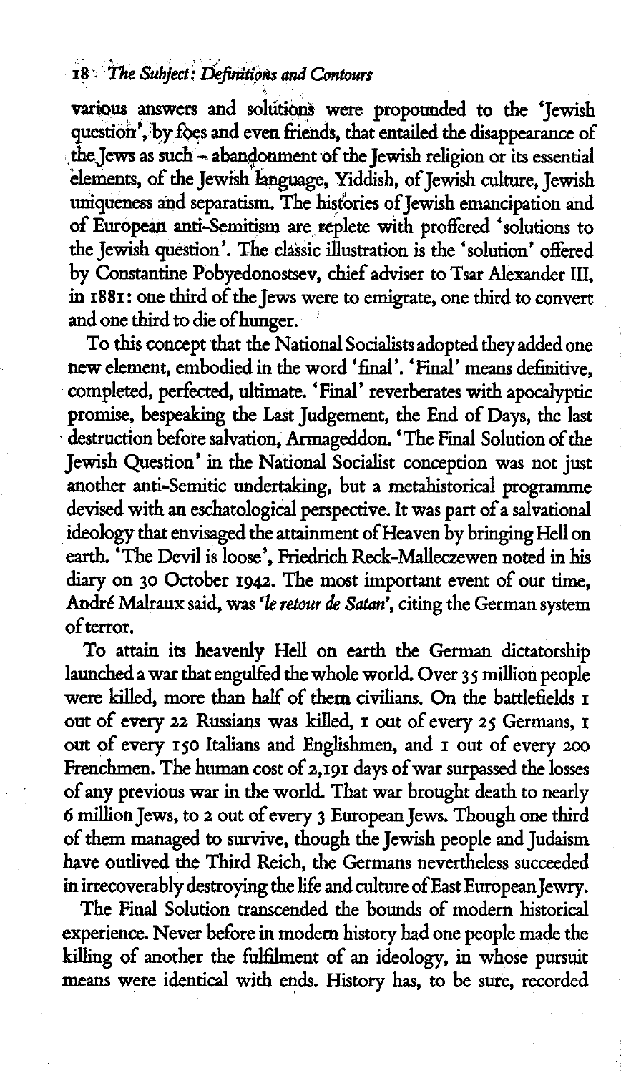### i8 •• *The Subject: Dejutitions and Contours*

various answers and solutions were propounded to the 'Jewish question', by foes and even friends, that entailed the disappearance of the Jews as such  $\rightarrow$  abandonment of the Jewish religion or its essential elements, of the Jewish language, Yiddish, of Jewish culture, Jewish uniqueness and separatism. The histories of Jewish emancipation and of European anti-Semitism are replete with proffered 'solutions to the Jewish question'. The classic illustration is the 'solution' offered by Constantine Pobyedonostsev, chief adviser to Tsar Alexander III, in  $1881$ : one third of the Jews were to emigrate, one third to convert and one third to die of hunger.

To this concept that the National Socialists adopted they added one new element, embodied in the word 'final'. 'Final' means definitive, completed, perfected, ultimate. 'Final' reverberates with apocalyptic promise, bespeaking the Last Judgement, the End of Days, the last destruction before salvation, Armageddon. 'The Final Solution of the Jewish Question' in the National Socialist conception was not just another anti-Semitic undertaking, but a metahistorical programme devised with an eschatological perspective. It was part of a salvational ideology that envisaged the attainment of Heaven by bringing Hell on earth. 'The Devil is loose', Friedrich Reck-Malleczewen noted in his diary on 30 October 1942. The most important event of our time. André Malraux said, was *' le retour de Satan' ,* citing the German system o f terror.

To attain its heavenly Hell on earth the German dictatorship launched a war that engulfed the whole world. Over 35 million people were killed, more than half of them civilians. On the battlefields I out of every 22 Russians was killed, 1 out of every 25 Germans, 1 out of every 150 Italians and Englishmen, and 1 out of every 200 Frenchmen. The human cost of 2,191 days of war surpassed the losses of any previous war in the world. That war brought death to nearly 6 million Jews, to 2 out of every 3 European Jews. Though one third of them managed to survive, though the Jewish people and Judaism have outlived the Third Reich, the Germans nevertheless succeeded in irrecoverably destroying the life and culture of East European Jewry.

The Final Solution transcended the bounds of modern historical experience. Never before in modern history had one people made the killing of another the fulfilment of an ideology, in whose pursuit means were identical with ends. History has, to be sure, recorded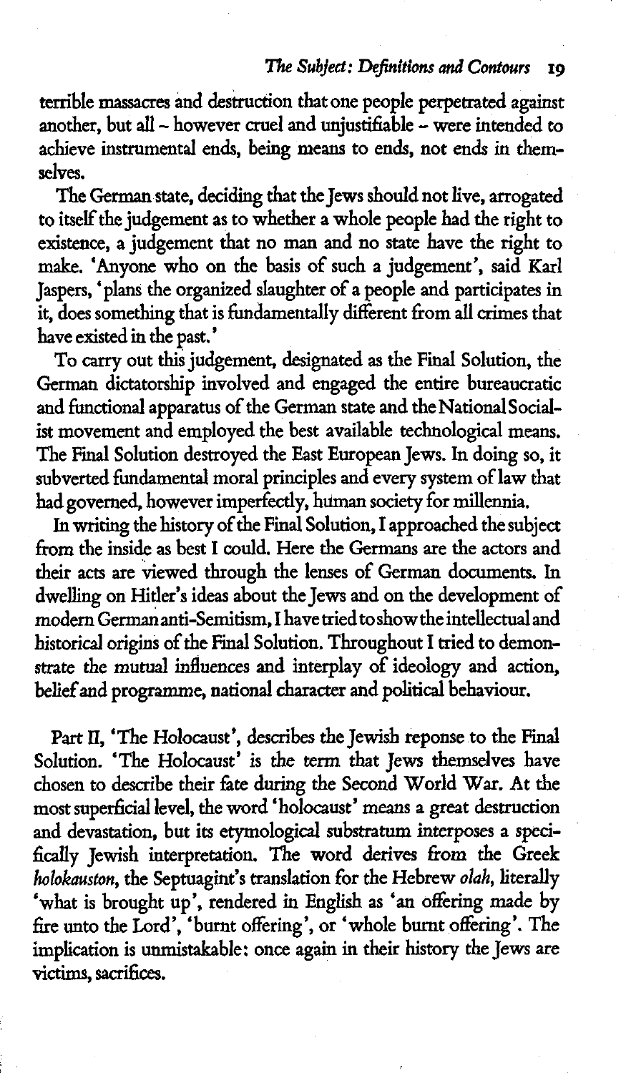terrible massacres and destruction that one people perpetrated against another, but all - however cruel and unjustifiable - were intended to achieve instrumental ends, being means to ends, not ends in themselves.

The German state, deciding that the Jews should not live, arrogated to itself the judgement as to whether a whole people had the right to existence, a judgement that no man and no state have the right to make. 'Anyone who on the basis of such a judgement', said Karl Jaspers, 'plans the organized slaughter of a people and participates in it, does something that is fundamentally different from all crimes that have existed in the past. '

To carry out this judgement, designated as the Final Solution, the German dictatorship involved and engaged the entire bureaucratic and functional apparatus of the German state and the National Socialist movement and employed the best available technological means. The Final Solution destroyed the East European Jews. In doing so, it subverted fundamental moral principles and every system of law that had governed, however imperfectly, human society for millennia.

In writing the history of the Final Solution, I approached the subject from the inside as best I could. Here the Germans are the actors and their acts are viewed through the lenses of German documents. In dwelling on Hitler's ideas about the Jews and on the development of modem German anti-Semitism, I have tried to show the intellectual and historical origins of the Final Solution. Throughout I tried to demonstrate the mutual influences and interplay of ideology and action, belief and programme, national character and political behaviour.

Part II, 'The Holocaust', describes the Jewish reponse to the Final Solution. 'The Holocaust' is the term that Jews themselves have chosen to describe their fate during the Second World War. At the most superficial level, the word 'holocaust' means a great destruction and devastation, but its etymological substratum interposes a specifically Jewish interpretation. The word derives from the Greek *holokauston*, the Septuagint's translation for the Hebrew *olah*, literally ' what is brought up', rendered in English as 'an offering made by fire unto the Lord', ' burnt offering', or ' whole burnt offering'. The implication is unmistakable: once again in their history the Jews are victims, sacrifices.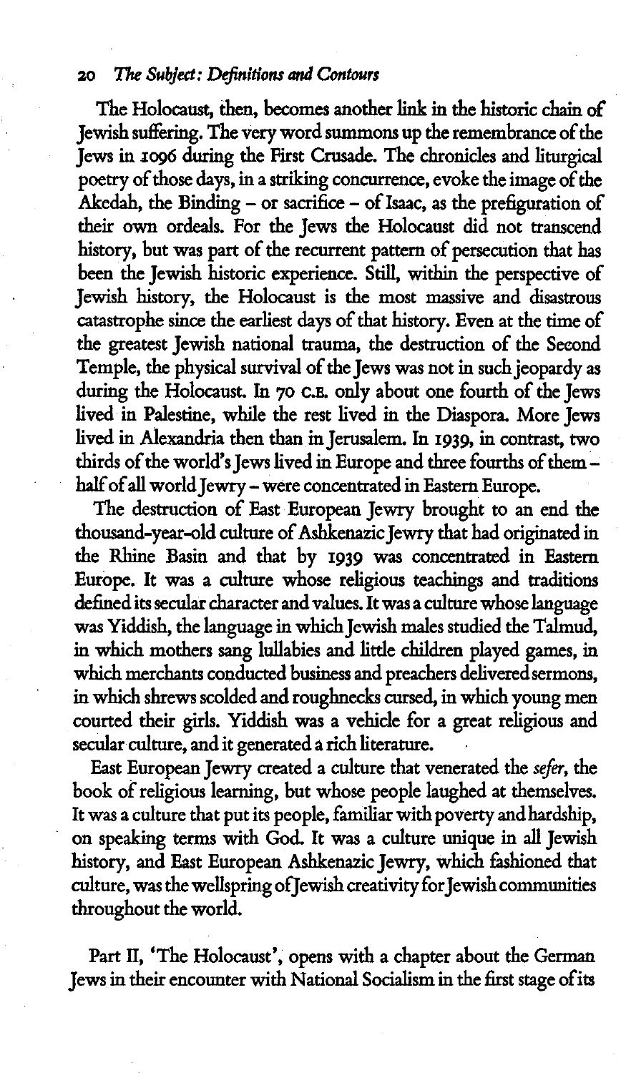The Holocaust, then, becomes another link in the historic chain of Jewish suffering. The very word summons up the remembrance of the Jews in 1096 during the First Crusade. The chronicles and liturgical poetry of those days, in a striking concurrence, evoke the image of the Akedah, the Binding - or sacrifice - of Isaac, as the prefiguration of their own ordeals. For the Jews the Holocaust did not transcend history, but was part of the recurrent pattern of persecution that has been the Jewish historic experience. Still, within the perspective of Jewish history, the Holocaust is the most massive and disastrous catastrophe since the earliest days of that history. Even at the time of the greatest Jewish national trauma, the destruction of the Second Temple, the physical survival of the Jews was not in such jeopardy as during the Holocaust. In 70 C.E. only about one fourth of the Jews lived in Palestine, while the rest lived in the Diaspora. More Jews lived in Alexandria then than in Jerusalem. In 1939, in contrast, two thirds of the world's Jews lived in Europe and three fourths of them half of all world Jewry - were concentrated in Eastern Europe.

The destruction of East European Jewry brought to an end the thousand-year-old culture of Ashkenazic Jewry that had originated in the Rhine Basin and that by 1939 was concentrated in Eastern Europe. It was a culture whose religious teachings and traditions defined its secular character and values. It was a culture whose language was Yiddish, the language in which Jewish males studied the Talmud, in which mothers sang lullabies and litde children played games, in which merchants conducted business and preachers delivered sermons, in which shrews scolded and roughnecks cursed, in which young men courted their girls. Yiddish was a vehicle for a great religious and secular culture, and it generated a rich literature.

East European Jewry created a culture that venerated the *sefer,* the book of religious learning, but whose people laughed at themselves. It was a culture that put its people, familiar with poverty and hardship, on speaking terms with God. It was a culture unique in all Jewish history, and East European Ashkenazic Jewry, which fashioned that culture, was the wellspring of Jewish creativity for Jewish communities throughout the world.

Part II, 'The Holocaust', opens with a chapter about the German Jews in their encounter with National Socialism in the first stage of its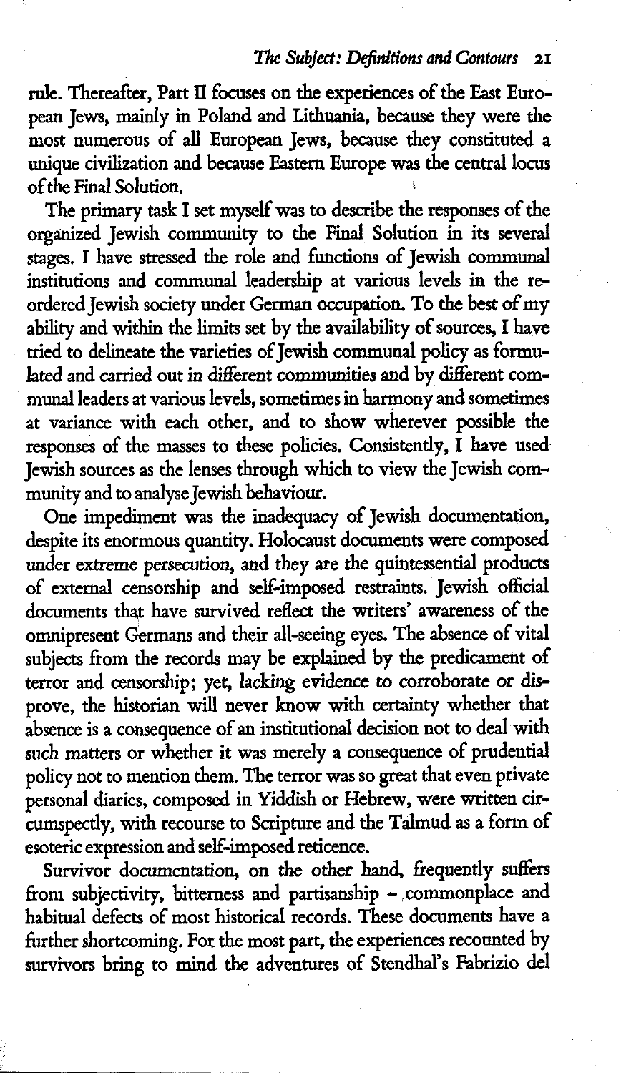rule. Thereafter, Part II focuses on the experiences of the East European Jews, mainly in Poland and Lithuania, because they were the most numerous of all European Jews, because they constituted a unique civilization and because Eastern Europe was the central locus o f the Final Solution. 1

The primary task I set myself was to describe the responses of the organized Jewish community to the Final Solution in its several stages. I have stressed the role and functions of Jewish communal institutions and communal leadership at various levels in the reordered Jewish society under German occupation. To the best of my ability and within the limits set by the availability of sources, I have tried to delineate the varieties of Jewish communal policy as formulated and carried out in different communities and by different communal leaders at various levels, sometimes in harmony and sometimes at variance with each other, and to show wherever possible the responses of the masses to these policies. Consistently,  $\overline{\mathbf{l}}$  have used Jewish sources as the lenses through which to view the Jewish com munity and to analyse Jewish behaviour.

One impediment was the inadequacy of Jewish documentation, despite its enormous quantity. Holocaust documents were composed under extreme persecution, and they are the quintessential products o f external censorship and self-imposed restraints. Jewish official documents that have survived reflect the writers' awareness of the omnipresent Germans and their all-seeing eyes. The absence of vital subjects from the records may be explained by the predicament of terror and censorship; yet, lacking evidence to corroborate or disprove, the historian will never know with certainty whether that absence is a consequence of an institutional decision not to deal with such matters or whether it was merely a consequence of prudential policy not to mention them. The terror was so great that even private personal diaries, composed in Yiddish or Hebrew, were written circumspectly, with recourse to Scripture and the Talmud as a form of esoteric expression and self-imposed reticence.

Survivor documentation, on the other hand, frequently suffers from subjectivity, bitterness and partisanship - commonplace and habitual defects of most historical records. These documents have a further shortcoming. For the most part, the experiences recounted by survivors bring to mind the adventures of Stendhal's Fabrizio del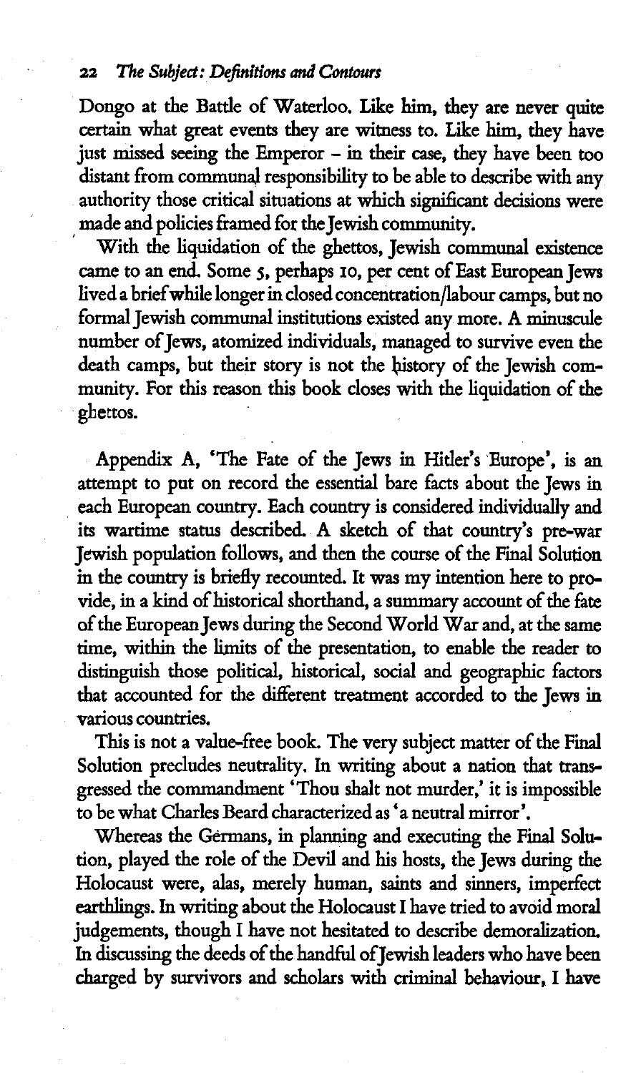Dongo at the Battle of Waterloo. Like him, they are never quite certain what great events they are witness to. Like him, they have just missed seeing the Emperor - in their case, they have been too distant from communal responsibility to be able to describe with any authority those critical situations at which significant decisions were made and policies framed for the Jewish community.

With the liquidation of the ghettos, Jewish communal existence came to an end. Some 5, perhaps 10, per cent of East European Jews lived a brief while longer in closed concentration/labour camps, but no formal Jewish communal institutions existed any more. A minuscule number of Jews, atomized individuals, managed to survive even the death camps, but their story is not the history of the Jewish community. For this reason this book closes with the liquidation of the ghettos.

Appendix A, 'The Fate of the Jews in Hitler's Europe', is an attempt to put on record the essential bare facts about the Jews in each European country. Each country is considered individually and its wartime status described. A sketch of that country's pre-war Jewish population follows, and then the course of the Final Solution in the country is briefly recounted. It was my intention here to provide, in a kind of historical shorthand, a summary account of the fate of the European Jews during the Second World War and, at the same time, within the limits of the presentation, to enable the reader to distinguish those political, historical, social and geographic factors that accounted for the different treatment accorded to the Jews in various countries.

This is not a value-free book. The very subject matter of the Final Solution precludes neutrality. In writing about a nation that transgressed the commandment ' Thou shalt not murder,' it is impossible to be what Charles Beard characterized as ' a neutral mirror'.

Whereas the Germans, in planning and executing the Final Solution, played the role of the Devil and his hosts, the Jews during the Holocaust were, alas, merely human, saints and sinners, imperfect earthlings. In writing about the Holocaust I have tried to avoid moral judgements, though I have not hesitated to describe demoralization. In discussing the deeds of the handful of Jewish leaders who have been charged by survivors and scholars with criminal behaviour, I have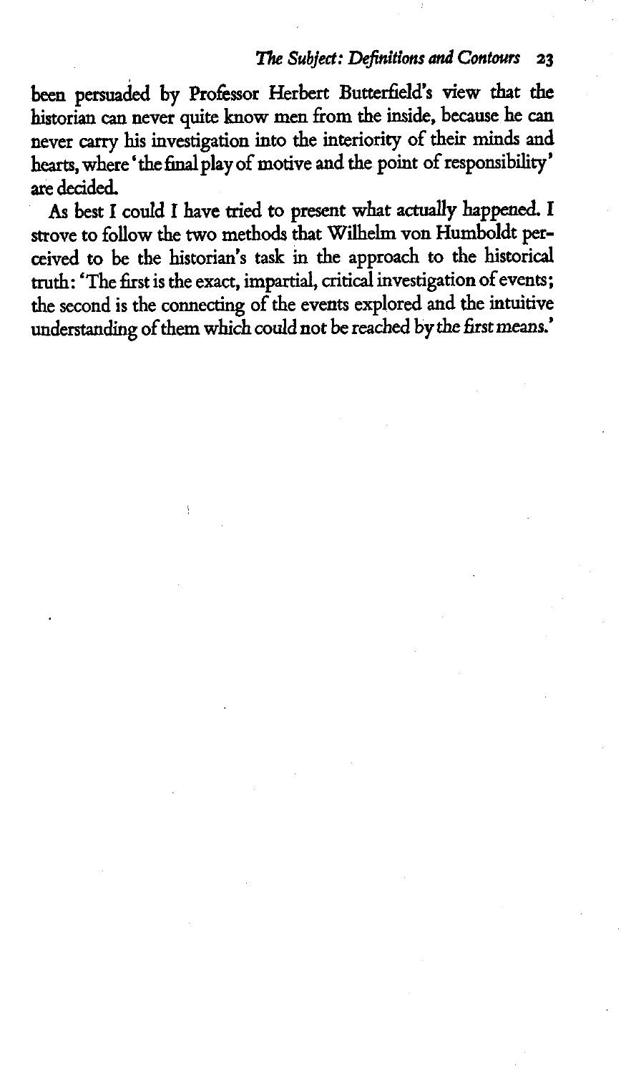been persuaded by Professor Herbert Butterfield's view that the historian can never quite know men from the inside, because he can never carry his investigation into the interiority of their minds and hearts, where 'the final play of motive and the point of responsibility' axe decided.

As best I could I have tried to present what actually happened. I strove to follow the two methods that Wilhelm von Humboldt perceived to be the historian's task in the approach to the historical truth: 'The first is the exact, impartial, critical investigation of events; the second is the connecting of the events explored and the intuitive understanding of them which could not be reached by the first means.'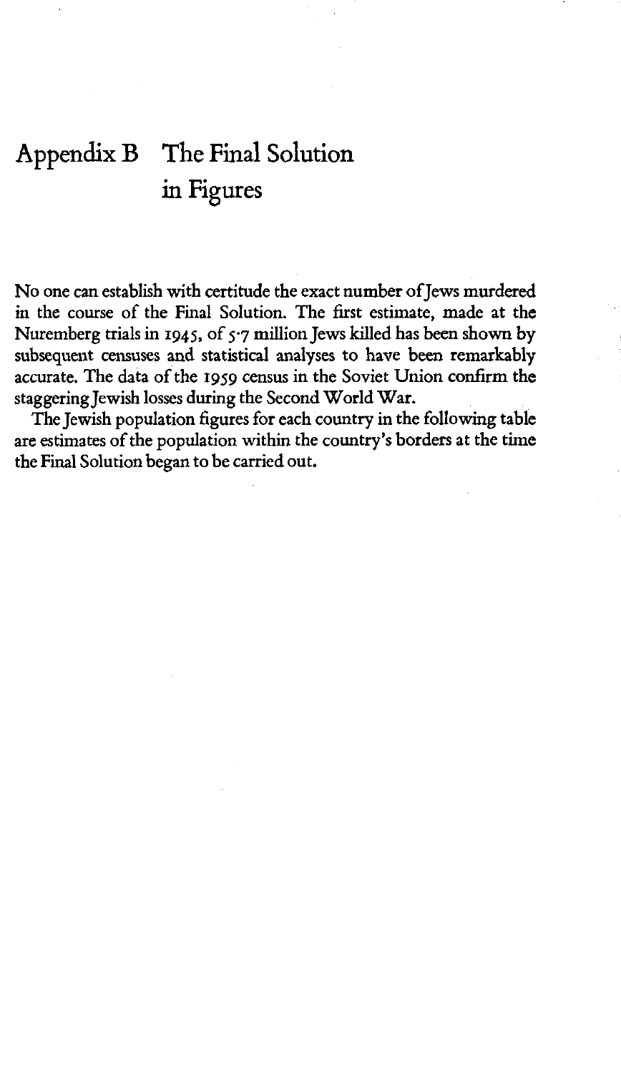# **Appendix B The Final Solution in Figures**

No one can establish with certitude the exact number of Jews murdered in the course of the Final Solution. The first estimate, made at the Nuremberg trials in 1945, of  $\varsigma$ -7 million Jews killed has been shown by subsequent censuses and statistical analyses to have been remarkably accurate. The data of the 1959 census in the Soviet Union confirm the staggering Jewish losses during the Second World War.

The Jewish population figures for each country in the following table are estimates of the population within the country's borders at the time the Final Solution began to be carried out.